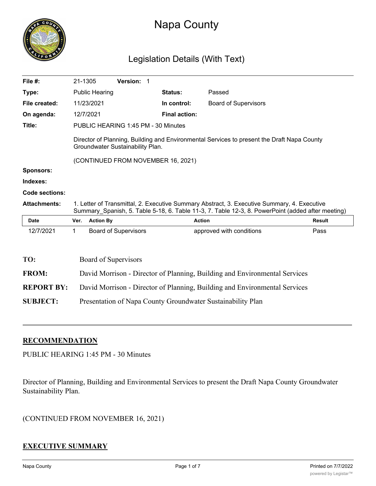

# Napa County

## Legislation Details (With Text)

| File $#$ :          | 21-1305                                                                    |                                                                                                                                                                                                  | Version: 1                  |  |                      |                             |  |               |
|---------------------|----------------------------------------------------------------------------|--------------------------------------------------------------------------------------------------------------------------------------------------------------------------------------------------|-----------------------------|--|----------------------|-----------------------------|--|---------------|
| Type:               |                                                                            | <b>Public Hearing</b>                                                                                                                                                                            |                             |  | <b>Status:</b>       | Passed                      |  |               |
| File created:       |                                                                            | 11/23/2021                                                                                                                                                                                       |                             |  | In control:          | <b>Board of Supervisors</b> |  |               |
| On agenda:          |                                                                            | 12/7/2021                                                                                                                                                                                        |                             |  | <b>Final action:</b> |                             |  |               |
| Title:              |                                                                            | PUBLIC HEARING 1:45 PM - 30 Minutes                                                                                                                                                              |                             |  |                      |                             |  |               |
|                     |                                                                            | Director of Planning, Building and Environmental Services to present the Draft Napa County<br>Groundwater Sustainability Plan.                                                                   |                             |  |                      |                             |  |               |
| <b>Sponsors:</b>    | (CONTINUED FROM NOVEMBER 16, 2021)                                         |                                                                                                                                                                                                  |                             |  |                      |                             |  |               |
| Indexes:            |                                                                            |                                                                                                                                                                                                  |                             |  |                      |                             |  |               |
| Code sections:      |                                                                            |                                                                                                                                                                                                  |                             |  |                      |                             |  |               |
| <b>Attachments:</b> |                                                                            |                                                                                                                                                                                                  |                             |  |                      |                             |  |               |
|                     |                                                                            | 1. Letter of Transmittal, 2. Executive Summary Abstract, 3. Executive Summary, 4. Executive<br>Summary Spanish, 5. Table 5-18, 6. Table 11-3, 7. Table 12-3, 8. PowerPoint (added after meeting) |                             |  |                      |                             |  |               |
| <b>Date</b>         | Ver.                                                                       | <b>Action By</b>                                                                                                                                                                                 |                             |  | <b>Action</b>        |                             |  | <b>Result</b> |
| 12/7/2021           | $\mathbf{1}$                                                               |                                                                                                                                                                                                  | <b>Board of Supervisors</b> |  |                      | approved with conditions    |  | Pass          |
|                     |                                                                            |                                                                                                                                                                                                  |                             |  |                      |                             |  |               |
| TO:                 | Board of Supervisors                                                       |                                                                                                                                                                                                  |                             |  |                      |                             |  |               |
| <b>FROM:</b>        | David Morrison - Director of Planning, Building and Environmental Services |                                                                                                                                                                                                  |                             |  |                      |                             |  |               |
| <b>REPORT BY:</b>   |                                                                            | David Morrison - Director of Planning, Building and Environmental Services                                                                                                                       |                             |  |                      |                             |  |               |
| <b>SUBJECT:</b>     |                                                                            | Presentation of Napa County Groundwater Sustainability Plan                                                                                                                                      |                             |  |                      |                             |  |               |

## **RECOMMENDATION**

PUBLIC HEARING 1:45 PM - 30 Minutes

Director of Planning, Building and Environmental Services to present the Draft Napa County Groundwater Sustainability Plan.

(CONTINUED FROM NOVEMBER 16, 2021)

## **EXECUTIVE SUMMARY**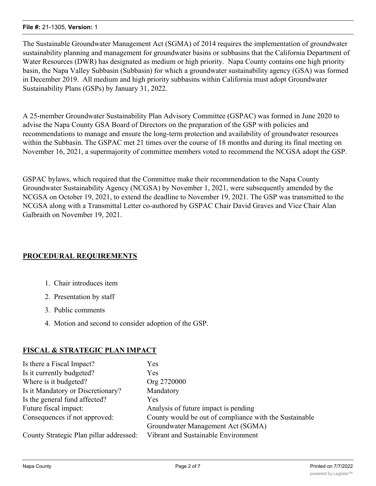The Sustainable Groundwater Management Act (SGMA) of 2014 requires the implementation of groundwater sustainability planning and management for groundwater basins or subbasins that the California Department of Water Resources (DWR) has designated as medium or high priority. Napa County contains one high priority basin, the Napa Valley Subbasin (Subbasin) for which a groundwater sustainability agency (GSA) was formed in December 2019. All medium and high priority subbasins within California must adopt Groundwater Sustainability Plans (GSPs) by January 31, 2022.

A 25-member Groundwater Sustainability Plan Advisory Committee (GSPAC) was formed in June 2020 to advise the Napa County GSA Board of Directors on the preparation of the GSP with policies and recommendations to manage and ensure the long-term protection and availability of groundwater resources within the Subbasin. The GSPAC met 21 times over the course of 18 months and during its final meeting on November 16, 2021, a supermajority of committee members voted to recommend the NCGSA adopt the GSP.

GSPAC bylaws, which required that the Committee make their recommendation to the Napa County Groundwater Sustainability Agency (NCGSA) by November 1, 2021, were subsequently amended by the NCGSA on October 19, 2021, to extend the deadline to November 19, 2021. The GSP was transmitted to the NCGSA along with a Transmittal Letter co-authored by GSPAC Chair David Graves and Vice Chair Alan Galbraith on November 19, 2021.

## **PROCEDURAL REQUIREMENTS**

- 1. Chair introduces item
- 2. Presentation by staff
- 3. Public comments
- 4. Motion and second to consider adoption of the GSP.

## **FISCAL & STRATEGIC PLAN IMPACT**

| Is there a Fiscal Impact?               | Yes                                                    |
|-----------------------------------------|--------------------------------------------------------|
| Is it currently budgeted?               | Yes                                                    |
| Where is it budgeted?                   | Org 2720000                                            |
| Is it Mandatory or Discretionary?       | Mandatory                                              |
| Is the general fund affected?           | Yes                                                    |
| Future fiscal impact:                   | Analysis of future impact is pending                   |
| Consequences if not approved:           | County would be out of compliance with the Sustainable |
|                                         | Groundwater Management Act (SGMA)                      |
| County Strategic Plan pillar addressed: | Vibrant and Sustainable Environment                    |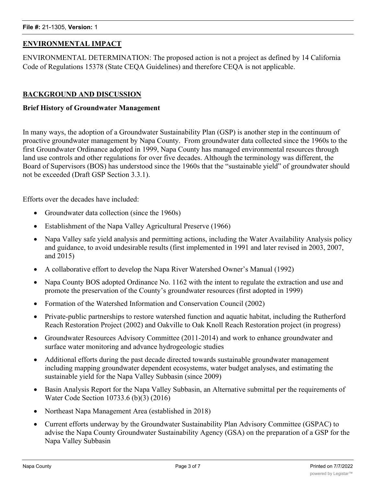## **ENVIRONMENTAL IMPACT**

ENVIRONMENTAL DETERMINATION: The proposed action is not a project as defined by 14 California Code of Regulations 15378 (State CEQA Guidelines) and therefore CEQA is not applicable.

## **BACKGROUND AND DISCUSSION**

#### **Brief History of Groundwater Management**

In many ways, the adoption of a Groundwater Sustainability Plan (GSP) is another step in the continuum of proactive groundwater management by Napa County. From groundwater data collected since the 1960s to the first Groundwater Ordinance adopted in 1999, Napa County has managed environmental resources through land use controls and other regulations for over five decades. Although the terminology was different, the Board of Supervisors (BOS) has understood since the 1960s that the "sustainable yield" of groundwater should not be exceeded (Draft GSP Section 3.3.1).

Efforts over the decades have included:

- Groundwater data collection (since the 1960s)
- Establishment of the Napa Valley Agricultural Preserve (1966)
- Napa Valley safe yield analysis and permitting actions, including the Water Availability Analysis policy and guidance, to avoid undesirable results (first implemented in 1991 and later revised in 2003, 2007, and 2015)
- A collaborative effort to develop the Napa River Watershed Owner's Manual (1992)
- Napa County BOS adopted Ordinance No. 1162 with the intent to regulate the extraction and use and promote the preservation of the County's groundwater resources (first adopted in 1999)
- · Formation of the Watershed Information and Conservation Council (2002)
- Private-public partnerships to restore watershed function and aquatic habitat, including the Rutherford Reach Restoration Project (2002) and Oakville to Oak Knoll Reach Restoration project (in progress)
- · Groundwater Resources Advisory Committee (2011-2014) and work to enhance groundwater and surface water monitoring and advance hydrogeologic studies
- Additional efforts during the past decade directed towards sustainable groundwater management including mapping groundwater dependent ecosystems, water budget analyses, and estimating the sustainable yield for the Napa Valley Subbasin (since 2009)
- Basin Analysis Report for the Napa Valley Subbasin, an Alternative submittal per the requirements of Water Code Section 10733.6 (b)(3) (2016)
- Northeast Napa Management Area (established in 2018)
- · Current efforts underway by the Groundwater Sustainability Plan Advisory Committee (GSPAC) to advise the Napa County Groundwater Sustainability Agency (GSA) on the preparation of a GSP for the Napa Valley Subbasin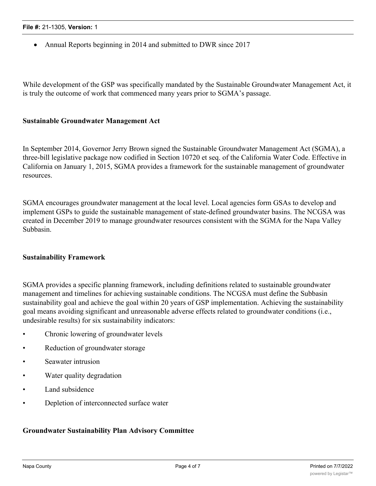Annual Reports beginning in 2014 and submitted to DWR since 2017

While development of the GSP was specifically mandated by the Sustainable Groundwater Management Act, it is truly the outcome of work that commenced many years prior to SGMA's passage.

#### **Sustainable Groundwater Management Act**

In September 2014, Governor Jerry Brown signed the Sustainable Groundwater Management Act (SGMA), a three-bill legislative package now codified in Section 10720 et seq. of the California Water Code. Effective in California on January 1, 2015, SGMA provides a framework for the sustainable management of groundwater resources.

SGMA encourages groundwater management at the local level. Local agencies form GSAs to develop and implement GSPs to guide the sustainable management of state-defined groundwater basins. The NCGSA was created in December 2019 to manage groundwater resources consistent with the SGMA for the Napa Valley Subbasin.

#### **Sustainability Framework**

SGMA provides a specific planning framework, including definitions related to sustainable groundwater management and timelines for achieving sustainable conditions. The NCGSA must define the Subbasin sustainability goal and achieve the goal within 20 years of GSP implementation. Achieving the sustainability goal means avoiding significant and unreasonable adverse effects related to groundwater conditions (i.e., undesirable results) for six sustainability indicators:

- Chronic lowering of groundwater levels
- Reduction of groundwater storage
- Seawater intrusion
- Water quality degradation
- Land subsidence
- Depletion of interconnected surface water

## **Groundwater Sustainability Plan Advisory Committee**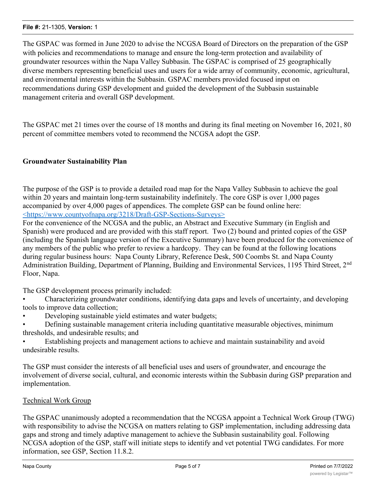#### **File #:** 21-1305, **Version:** 1

The GSPAC was formed in June 2020 to advise the NCGSA Board of Directors on the preparation of the GSP with policies and recommendations to manage and ensure the long-term protection and availability of groundwater resources within the Napa Valley Subbasin. The GSPAC is comprised of 25 geographically diverse members representing beneficial uses and users for a wide array of community, economic, agricultural, and environmental interests within the Subbasin. GSPAC members provided focused input on recommendations during GSP development and guided the development of the Subbasin sustainable management criteria and overall GSP development.

The GSPAC met 21 times over the course of 18 months and during its final meeting on November 16, 2021, 80 percent of committee members voted to recommend the NCGSA adopt the GSP.

## **Groundwater Sustainability Plan**

The purpose of the GSP is to provide a detailed road map for the Napa Valley Subbasin to achieve the goal within 20 years and maintain long-term sustainability indefinitely. The core GSP is over 1,000 pages accompanied by over 4,000 pages of appendices. The complete GSP can be found online here: <https://www.countyofnapa.org/3218/Draft-GSP-Sections-Surveys>

For the convenience of the NCGSA and the public, an Abstract and Executive Summary (in English and Spanish) were produced and are provided with this staff report. Two (2) bound and printed copies of the GSP (including the Spanish language version of the Executive Summary) have been produced for the convenience of any members of the public who prefer to review a hardcopy. They can be found at the following locations during regular business hours: Napa County Library, Reference Desk, 500 Coombs St. and Napa County Administration Building, Department of Planning, Building and Environmental Services, 1195 Third Street, 2<sup>nd</sup> Floor, Napa.

The GSP development process primarily included:

• Characterizing groundwater conditions, identifying data gaps and levels of uncertainty, and developing tools to improve data collection;

Developing sustainable yield estimates and water budgets;

• Defining sustainable management criteria including quantitative measurable objectives, minimum thresholds, and undesirable results; and

• Establishing projects and management actions to achieve and maintain sustainability and avoid undesirable results.

The GSP must consider the interests of all beneficial uses and users of groundwater, and encourage the involvement of diverse social, cultural, and economic interests within the Subbasin during GSP preparation and implementation.

## Technical Work Group

The GSPAC unanimously adopted a recommendation that the NCGSA appoint a Technical Work Group (TWG) with responsibility to advise the NCGSA on matters relating to GSP implementation, including addressing data gaps and strong and timely adaptive management to achieve the Subbasin sustainability goal. Following NCGSA adoption of the GSP, staff will initiate steps to identify and vet potential TWG candidates. For more information, see GSP, Section 11.8.2.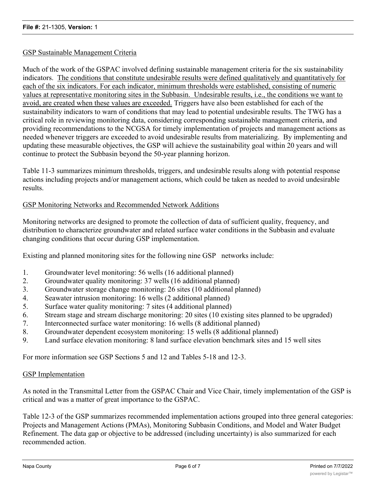## GSP Sustainable Management Criteria

Much of the work of the GSPAC involved defining sustainable management criteria for the six sustainability indicators. The conditions that constitute undesirable results were defined qualitatively and quantitatively for each of the six indicators. For each indicator, minimum thresholds were established, consisting of numeric values at representative monitoring sites in the Subbasin. Undesirable results, i.e., the conditions we want to avoid, are created when these values are exceeded. Triggers have also been established for each of the sustainability indicators to warn of conditions that may lead to potential undesirable results. The TWG has a critical role in reviewing monitoring data, considering corresponding sustainable management criteria, and providing recommendations to the NCGSA for timely implementation of projects and management actions as needed whenever triggers are exceeded to avoid undesirable results from materializing. By implementing and updating these measurable objectives, the GSP will achieve the sustainability goal within 20 years and will continue to protect the Subbasin beyond the 50-year planning horizon.

Table 11-3 summarizes minimum thresholds, triggers, and undesirable results along with potential response actions including projects and/or management actions, which could be taken as needed to avoid undesirable results.

## GSP Monitoring Networks and Recommended Network Additions

Monitoring networks are designed to promote the collection of data of sufficient quality, frequency, and distribution to characterize groundwater and related surface water conditions in the Subbasin and evaluate changing conditions that occur during GSP implementation.

Existing and planned monitoring sites for the following nine GSP networks include:

- 1. Groundwater level monitoring: 56 wells (16 additional planned)
- 2. Groundwater quality monitoring: 37 wells (16 additional planned)
- 3. Groundwater storage change monitoring: 26 sites (10 additional planned)
- 4. Seawater intrusion monitoring: 16 wells (2 additional planned)
- 5. Surface water quality monitoring: 7 sites (4 additional planned)
- 6. Stream stage and stream discharge monitoring: 20 sites (10 existing sites planned to be upgraded)
- 7. Interconnected surface water monitoring: 16 wells (8 additional planned)
- 8. Groundwater dependent ecosystem monitoring: 15 wells (8 additional planned)
- 9. Land surface elevation monitoring: 8 land surface elevation benchmark sites and 15 well sites

For more information see GSP Sections 5 and 12 and Tables 5-18 and 12-3.

#### GSP Implementation

As noted in the Transmittal Letter from the GSPAC Chair and Vice Chair, timely implementation of the GSP is critical and was a matter of great importance to the GSPAC.

Table 12-3 of the GSP summarizes recommended implementation actions grouped into three general categories: Projects and Management Actions (PMAs), Monitoring Subbasin Conditions, and Model and Water Budget Refinement. The data gap or objective to be addressed (including uncertainty) is also summarized for each recommended action.